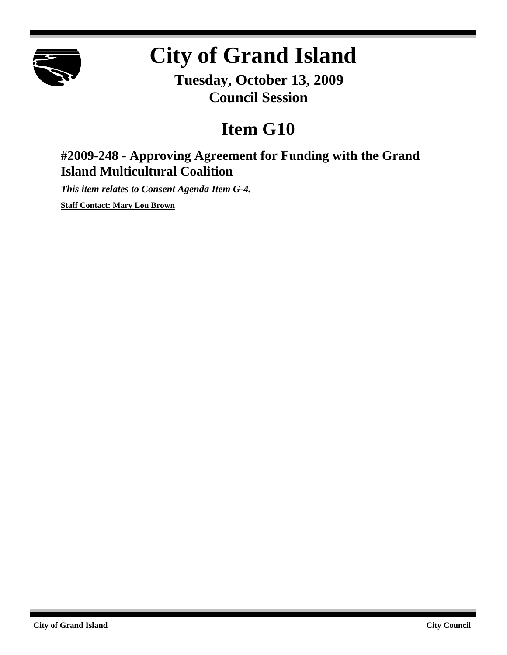

# **City of Grand Island**

**Tuesday, October 13, 2009 Council Session**

## **Item G10**

### **#2009-248 - Approving Agreement for Funding with the Grand Island Multicultural Coalition**

*This item relates to Consent Agenda Item G-4.*

**Staff Contact: Mary Lou Brown**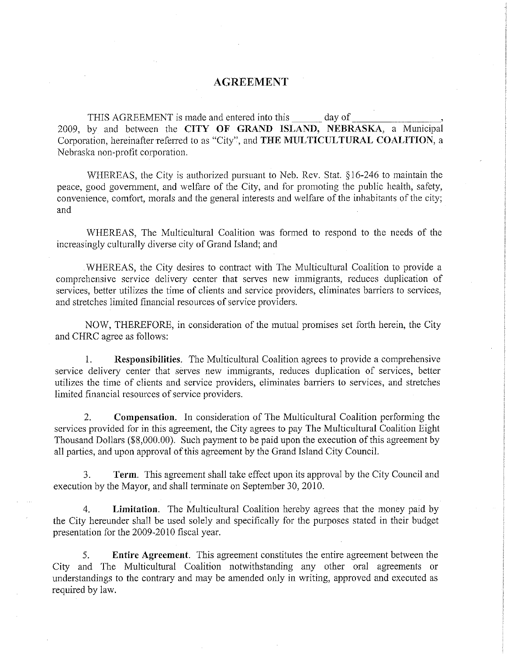#### **AGREEMENT**

 $_$ day of THIS AGREEMENT is made and entered into this 2009, by and between the CITY OF GRAND ISLAND, NEBRASKA, a Municipal Corporation, hereinafter referred to as "City", and THE MULTICULTURAL COALITION, a Nebraska non-profit corporation.

WHEREAS, the City is authorized pursuant to Neb. Rev. Stat. §16-246 to maintain the peace, good government, and welfare of the City, and for promoting the public health, safety, convenience, comfort, morals and the general interests and welfare of the inhabitants of the city; and

WHEREAS, The Multicultural Coalition was formed to respond to the needs of the increasingly culturally diverse city of Grand Island; and

WHEREAS, the City desires to contract with The Multicultural Coalition to provide a comprehensive service delivery center that serves new immigrants, reduces duplication of services, better utilizes the time of clients and service providers, eliminates barriers to services, and stretches limited financial resources of service providers.

NOW, THEREFORE, in consideration of the mutual promises set forth herein, the City and CHRC agree as follows:

**Responsibilities.** The Multicultural Coalition agrees to provide a comprehensive  $1$ service delivery center that serves new immigrants, reduces duplication of services, better utilizes the time of clients and service providers, eliminates barriers to services, and stretches limited financial resources of service providers.

Compensation. In consideration of The Multicultural Coalition performing the  $2.$ services provided for in this agreement, the City agrees to pay The Multicultural Coalition Eight Thousand Dollars (\$8,000.00). Such payment to be paid upon the execution of this agreement by all parties, and upon approval of this agreement by the Grand Island City Council.

Term. This agreement shall take effect upon its approval by the City Council and 3. execution by the Mayor, and shall terminate on September 30, 2010.

Limitation. The Multicultural Coalition hereby agrees that the money paid by  $\overline{4}$ . the City hereunder shall be used solely and specifically for the purposes stated in their budget presentation for the 2009-2010 fiscal year.

Entire Agreement. This agreement constitutes the entire agreement between the 5. City and The Multicultural Coalition notwithstanding any other oral agreements or understandings to the contrary and may be amended only in writing, approved and executed as required by law.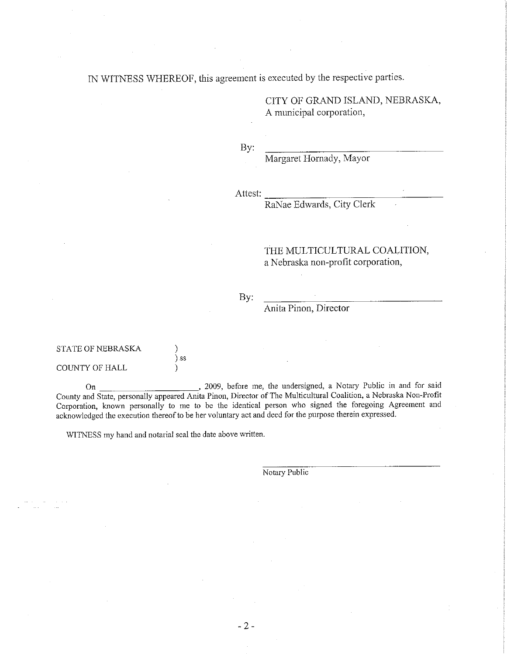IN WITNESS WHEREOF, this agreement is executed by the respective parties.

CITY OF GRAND ISLAND, NEBRASKA, A municipal corporation,

By:

Margaret Hornady, Mayor

Attest:

RaNae Edwards, City Clerk

#### THE MULTICULTURAL COALITION, a Nebraska non-profit corporation,

#### By:

Anita Pinon, Director

| STATE OF NEBRASKA |        |
|-------------------|--------|
|                   | $\sum$ |
| COUNTY OF HALL    |        |

, 2009, before me, the undersigned, a Notary Public in and for said On County and State, personally appeared Anita Pinon, Director of The Multicultural Coalition, a Nebraska Non-Profit Corporation, known personally to me to be the identical person who signed the foregoing Agreement and acknowledged the execution thereof to be her voluntary act and deed for the purpose therein expressed.

WITNESS my hand and notarial seal the date above written.

Notary Public